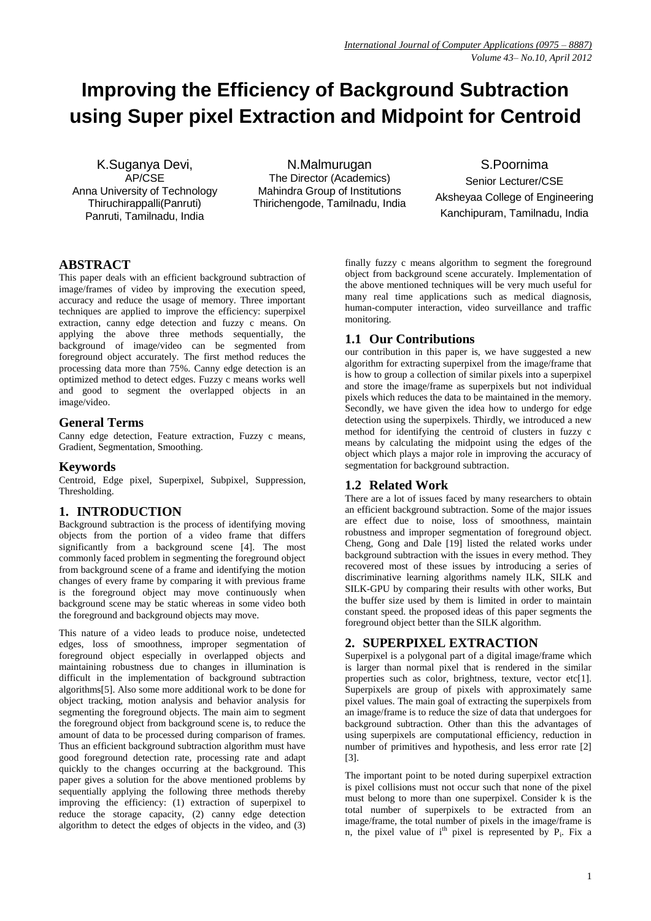# **Improving the Efficiency of Background Subtraction using Super pixel Extraction and Midpoint for Centroid**

K.Suganya Devi, AP/CSE Anna University of Technology Thiruchirappalli(Panruti) Panruti, Tamilnadu, India

N.Malmurugan The Director (Academics) Mahindra Group of Institutions Thirichengode, Tamilnadu, India

S.Poornima Senior Lecturer/CSE Aksheyaa College of Engineering Kanchipuram, Tamilnadu, India

# **ABSTRACT**

This paper deals with an efficient background subtraction of image/frames of video by improving the execution speed, accuracy and reduce the usage of memory. Three important techniques are applied to improve the efficiency: superpixel extraction, canny edge detection and fuzzy c means. On applying the above three methods sequentially, the background of image/video can be segmented from foreground object accurately. The first method reduces the processing data more than 75%. Canny edge detection is an optimized method to detect edges. Fuzzy c means works well and good to segment the overlapped objects in an image/video.

## **General Terms**

Canny edge detection, Feature extraction, Fuzzy c means, Gradient, Segmentation, Smoothing.

# **Keywords**

Centroid, Edge pixel, Superpixel, Subpixel, Suppression, Thresholding.

# **1. INTRODUCTION**

Background subtraction is the process of identifying moving objects from the portion of a video frame that differs significantly from a background scene [4]. The most commonly faced problem in segmenting the foreground object from background scene of a frame and identifying the motion changes of every frame by comparing it with previous frame is the foreground object may move continuously when background scene may be static whereas in some video both the foreground and background objects may move.

This nature of a video leads to produce noise, undetected edges, loss of smoothness, improper segmentation of foreground object especially in overlapped objects and maintaining robustness due to changes in illumination is difficult in the implementation of background subtraction algorithms[5]. Also some more additional work to be done for object tracking, motion analysis and behavior analysis for segmenting the foreground objects. The main aim to segment the foreground object from background scene is, to reduce the amount of data to be processed during comparison of frames. Thus an efficient background subtraction algorithm must have good foreground detection rate, processing rate and adapt quickly to the changes occurring at the background. This paper gives a solution for the above mentioned problems by sequentially applying the following three methods thereby improving the efficiency: (1) extraction of superpixel to reduce the storage capacity, (2) canny edge detection algorithm to detect the edges of objects in the video, and (3) finally fuzzy c means algorithm to segment the foreground object from background scene accurately. Implementation of the above mentioned techniques will be very much useful for many real time applications such as medical diagnosis, human-computer interaction, video surveillance and traffic monitoring.

# **1.1 Our Contributions**

our contribution in this paper is, we have suggested a new algorithm for extracting superpixel from the image/frame that is how to group a collection of similar pixels into a superpixel and store the image/frame as superpixels but not individual pixels which reduces the data to be maintained in the memory. Secondly, we have given the idea how to undergo for edge detection using the superpixels. Thirdly, we introduced a new method for identifying the centroid of clusters in fuzzy c means by calculating the midpoint using the edges of the object which plays a major role in improving the accuracy of segmentation for background subtraction.

# **1.2 Related Work**

There are a lot of issues faced by many researchers to obtain an efficient background subtraction. Some of the major issues are effect due to noise, loss of smoothness, maintain robustness and improper segmentation of foreground object. Cheng, Gong and Dale [19] listed the related works under background subtraction with the issues in every method. They recovered most of these issues by introducing a series of discriminative learning algorithms namely ILK, SILK and SILK-GPU by comparing their results with other works, But the buffer size used by them is limited in order to maintain constant speed. the proposed ideas of this paper segments the foreground object better than the SILK algorithm.

# **2. SUPERPIXEL EXTRACTION**

Superpixel is a polygonal part of a digital image/frame which is larger than normal pixel that is rendered in the similar properties such as color, brightness, texture, vector etc[1]. Superpixels are group of pixels with approximately same pixel values. The main goal of extracting the superpixels from an image/frame is to reduce the size of data that undergoes for background subtraction. Other than this the advantages of using superpixels are computational efficiency, reduction in number of primitives and hypothesis, and less error rate [2] [3].

The important point to be noted during superpixel extraction is pixel collisions must not occur such that none of the pixel must belong to more than one superpixel. Consider k is the total number of superpixels to be extracted from an image/frame, the total number of pixels in the image/frame is n, the pixel value of  $i<sup>th</sup>$  pixel is represented by  $P_i$ . Fix a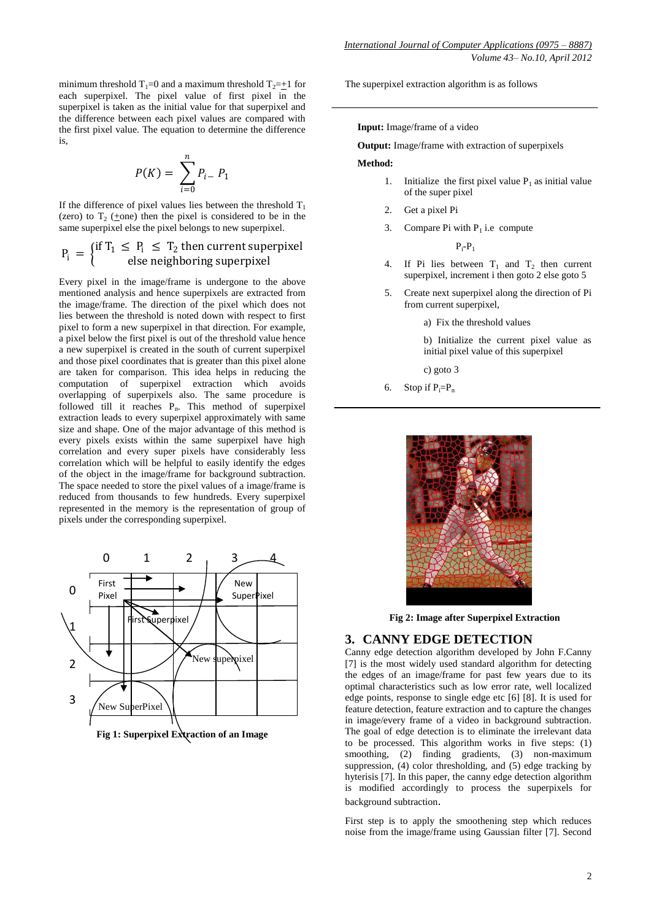minimum threshold  $T_1=0$  and a maximum threshold  $T_2=+1$  for each superpixel. The pixel value of first pixel in the superpixel is taken as the initial value for that superpixel and the difference between each pixel values are compared with the first pixel value. The equation to determine the difference is,

$$
P(K) = \sum_{i=0}^{n} P_{i-} P_1
$$

If the difference of pixel values lies between the threshold  $T_1$ (zero) to  $T_2$  (+one) then the pixel is considered to be in the same superpixel else the pixel belongs to new superpixel.

$$
P_i = \begin{cases} \text{if } T_1 \le P_i \le T_2 \text{ then current superpixel} \\ \text{else neighboring superpixel} \end{cases}
$$

Every pixel in the image/frame is undergone to the above mentioned analysis and hence superpixels are extracted from the image/frame. The direction of the pixel which does not lies between the threshold is noted down with respect to first pixel to form a new superpixel in that direction. For example, a pixel below the first pixel is out of the threshold value hence a new superpixel is created in the south of current superpixel and those pixel coordinates that is greater than this pixel alone are taken for comparison. This idea helps in reducing the computation of superpixel extraction which avoids overlapping of superpixels also. The same procedure is followed till it reaches  $P_n$ . This method of superpixel extraction leads to every superpixel approximately with same size and shape. One of the major advantage of this method is every pixels exists within the same superpixel have high correlation and every super pixels have considerably less correlation which will be helpful to easily identify the edges of the object in the image/frame for background subtraction. The space needed to store the pixel values of a image/frame is reduced from thousands to few hundreds. Every superpixel represented in the memory is the representation of group of pixels under the corresponding superpixel.



**Fig 1: Superpixel Extraction of an Image**

The superpixel extraction algorithm is as follows

 **Input:** Image/frame of a video

 **Output:** Image/frame with extraction of superpixels

#### **Method:**

- 1. Initialize the first pixel value  $P_1$  as initial value of the super pixel
- 2. Get a pixel Pi
- 3. Compare Pi with  $P_1$  i.e compute

 $P_i$ - $P_1$ 

- 4. If Pi lies between  $T_1$  and  $T_2$  then current superpixel, increment i then goto 2 else goto 5
- 5. Create next superpixel along the direction of Pi from current superpixel,
	- a) Fix the threshold values

b) Initialize the current pixel value as initial pixel value of this superpixel

c) goto 3

6. Stop if  $P_i = P_n$ 



 **Fig 2: Image after Superpixel Extraction** 

## **3. CANNY EDGE DETECTION**

Canny edge detection algorithm developed by John F.Canny [7] is the most widely used standard algorithm for detecting the edges of an image/frame for past few years due to its optimal characteristics such as low error rate, well localized edge points, response to single edge etc [6] [8]. It is used for feature detection, feature extraction and to capture the changes in image/every frame of a video in background subtraction. The goal of edge detection is to eliminate the irrelevant data to be processed. This algorithm works in five steps: (1) smoothing, (2) finding gradients, (3) non-maximum suppression, (4) color thresholding, and (5) edge tracking by hyterisis [7]. In this paper, the canny edge detection algorithm is modified accordingly to process the superpixels for background subtraction.

First step is to apply the smoothening step which reduces noise from the image/frame using Gaussian filter [7]. Second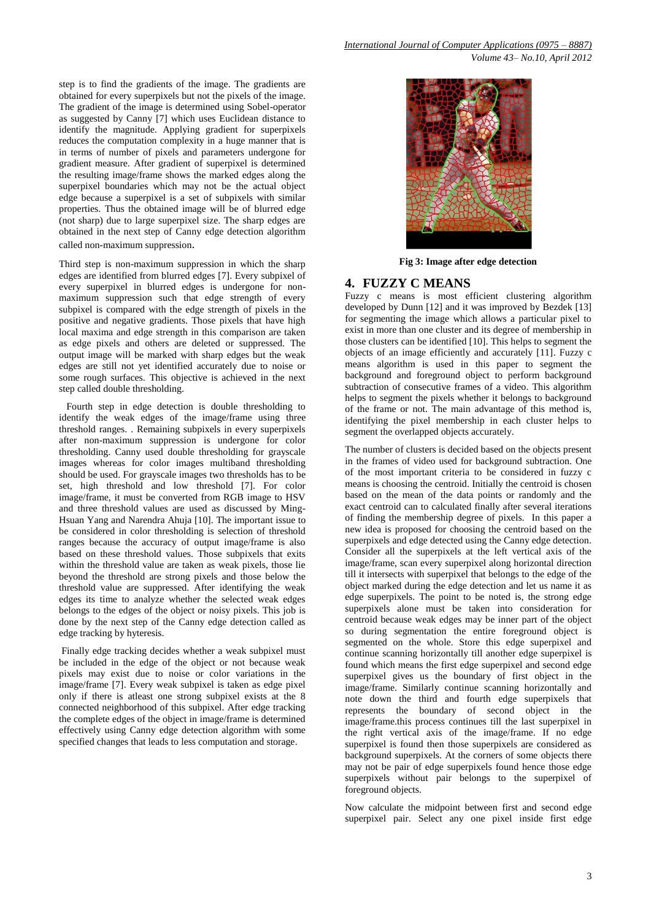step is to find the gradients of the image. The gradients are obtained for every superpixels but not the pixels of the image. The gradient of the image is determined using Sobel-operator as suggested by Canny [7] which uses Euclidean distance to identify the magnitude. Applying gradient for superpixels reduces the computation complexity in a huge manner that is in terms of number of pixels and parameters undergone for gradient measure. After gradient of superpixel is determined the resulting image/frame shows the marked edges along the superpixel boundaries which may not be the actual object edge because a superpixel is a set of subpixels with similar properties. Thus the obtained image will be of blurred edge (not sharp) due to large superpixel size. The sharp edges are obtained in the next step of Canny edge detection algorithm called non-maximum suppression.

Third step is non-maximum suppression in which the sharp edges are identified from blurred edges [7]. Every subpixel of every superpixel in blurred edges is undergone for nonmaximum suppression such that edge strength of every subpixel is compared with the edge strength of pixels in the positive and negative gradients. Those pixels that have high local maxima and edge strength in this comparison are taken as edge pixels and others are deleted or suppressed. The output image will be marked with sharp edges but the weak edges are still not yet identified accurately due to noise or some rough surfaces. This objective is achieved in the next step called double thresholding.

 Fourth step in edge detection is double thresholding to identify the weak edges of the image/frame using three threshold ranges. . Remaining subpixels in every superpixels after non-maximum suppression is undergone for color thresholding. Canny used double thresholding for grayscale images whereas for color images multiband thresholding should be used. For grayscale images two thresholds has to be set, high threshold and low threshold [7]. For color image/frame, it must be converted from RGB image to HSV and three threshold values are used as discussed by Ming-Hsuan Yang and Narendra Ahuja [10]. The important issue to be considered in color thresholding is selection of threshold ranges because the accuracy of output image/frame is also based on these threshold values. Those subpixels that exits within the threshold value are taken as weak pixels, those lie beyond the threshold are strong pixels and those below the threshold value are suppressed. After identifying the weak edges its time to analyze whether the selected weak edges belongs to the edges of the object or noisy pixels. This job is done by the next step of the Canny edge detection called as edge tracking by hyteresis.

Finally edge tracking decides whether a weak subpixel must be included in the edge of the object or not because weak pixels may exist due to noise or color variations in the image/frame [7]. Every weak subpixel is taken as edge pixel only if there is atleast one strong subpixel exists at the 8 connected neighborhood of this subpixel. After edge tracking the complete edges of the object in image/frame is determined effectively using Canny edge detection algorithm with some specified changes that leads to less computation and storage.



 **Fig 3: Image after edge detection**

# **4. FUZZY C MEANS**

Fuzzy c means is most efficient clustering algorithm developed by Dunn [12] and it was improved by Bezdek [13] for segmenting the image which allows a particular pixel to exist in more than one cluster and its degree of membership in those clusters can be identified [10]. This helps to segment the objects of an image efficiently and accurately [11]. Fuzzy c means algorithm is used in this paper to segment the background and foreground object to perform background subtraction of consecutive frames of a video. This algorithm helps to segment the pixels whether it belongs to background of the frame or not. The main advantage of this method is, identifying the pixel membership in each cluster helps to segment the overlapped objects accurately.

The number of clusters is decided based on the objects present in the frames of video used for background subtraction. One of the most important criteria to be considered in fuzzy c means is choosing the centroid. Initially the centroid is chosen based on the mean of the data points or randomly and the exact centroid can to calculated finally after several iterations of finding the membership degree of pixels. In this paper a new idea is proposed for choosing the centroid based on the superpixels and edge detected using the Canny edge detection. Consider all the superpixels at the left vertical axis of the image/frame, scan every superpixel along horizontal direction till it intersects with superpixel that belongs to the edge of the object marked during the edge detection and let us name it as edge superpixels. The point to be noted is, the strong edge superpixels alone must be taken into consideration for centroid because weak edges may be inner part of the object so during segmentation the entire foreground object is segmented on the whole. Store this edge superpixel and continue scanning horizontally till another edge superpixel is found which means the first edge superpixel and second edge superpixel gives us the boundary of first object in the image/frame. Similarly continue scanning horizontally and note down the third and fourth edge superpixels that represents the boundary of second object in the image/frame.this process continues till the last superpixel in the right vertical axis of the image/frame. If no edge superpixel is found then those superpixels are considered as background superpixels. At the corners of some objects there may not be pair of edge superpixels found hence those edge superpixels without pair belongs to the superpixel of foreground objects.

Now calculate the midpoint between first and second edge superpixel pair. Select any one pixel inside first edge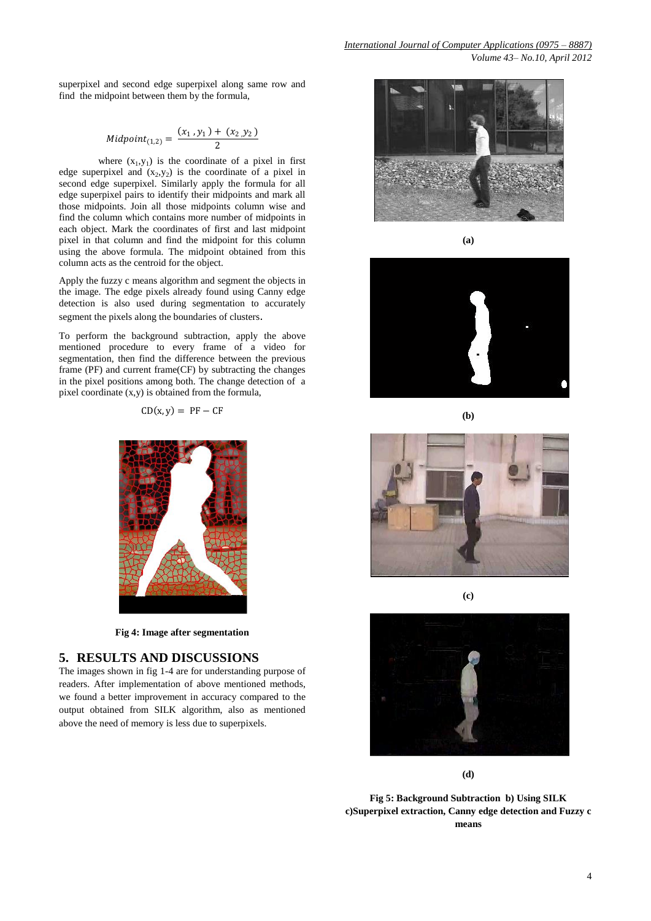superpixel and second edge superpixel along same row and find the midpoint between them by the formula,

$$
Midpoint_{(1,2)} = \frac{(x_1, y_1) + (x_2, y_2)}{2}
$$

where  $(x_1, y_1)$  is the coordinate of a pixel in first edge superpixel and  $(x_2,y_2)$  is the coordinate of a pixel in second edge superpixel. Similarly apply the formula for all edge superpixel pairs to identify their midpoints and mark all those midpoints. Join all those midpoints column wise and find the column which contains more number of midpoints in each object. Mark the coordinates of first and last midpoint pixel in that column and find the midpoint for this column using the above formula. The midpoint obtained from this column acts as the centroid for the object.

Apply the fuzzy c means algorithm and segment the objects in the image. The edge pixels already found using Canny edge detection is also used during segmentation to accurately segment the pixels along the boundaries of clusters.

To perform the background subtraction, apply the above mentioned procedure to every frame of a video for segmentation, then find the difference between the previous frame (PF) and current frame(CF) by subtracting the changes in the pixel positions among both. The change detection of a pixel coordinate (x,y) is obtained from the formula,

$$
CD(x, y) = PF - CF
$$



**Fig 4: Image after segmentation**

## **5. RESULTS AND DISCUSSIONS**

The images shown in fig 1-4 are for understanding purpose of readers. After implementation of above mentioned methods, we found a better improvement in accuracy compared to the output obtained from SILK algorithm, also as mentioned above the need of memory is less due to superpixels.



**(a)**







**(c)**



**(d)**

**Fig 5: Background Subtraction b) Using SILK c)Superpixel extraction, Canny edge detection and Fuzzy c means**